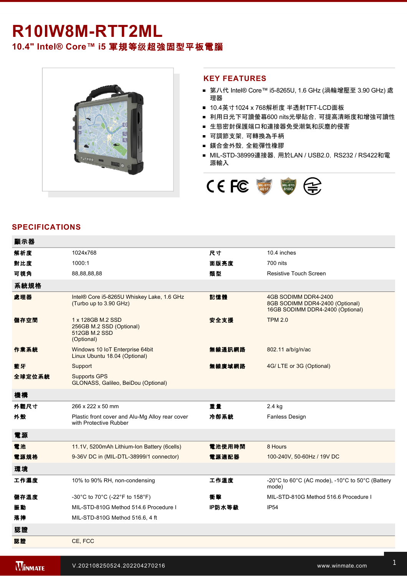## **R10IW8MRTT2ML**

**10.4" Intel® Core™ i5** 軍規等级超強固型平板電腦



## **KEY FEATURES**

- 第八代 Intel® Core™ i5-8265U, 1.6 GHz (渦輪增壓至 3.90 GHz) 處 理器
- 10.4英寸1024 x 768解析度 半透射TFT-LCD面板
- 利用日光下可讀螢幕600 nits光學貼合, 可提高清晰度和增強可讀性
- 生態密封保護端口和連接器免受潮氣和灰塵的侵害
- 可調節支架,可轉換為手柄
- 鎂合金外殼,全能彈性橡膠
- MIL-STD-38999連接器, 用於LAN / USB2.0, RS232 / RS422和電 源輸入



## **SPECIFICATIONS**

| 顯示器    |                                                                              |        |                                                                                                      |
|--------|------------------------------------------------------------------------------|--------|------------------------------------------------------------------------------------------------------|
| 解析度    | 1024x768                                                                     | 尺寸     | 10.4 inches                                                                                          |
| 對比度    | 1000:1                                                                       | 面版亮度   | 700 nits                                                                                             |
| 可視角    | 88,88,88,88                                                                  | 類型     | <b>Resistive Touch Screen</b>                                                                        |
| 系統規格   |                                                                              |        |                                                                                                      |
| 處理器    | Intel® Core i5-8265U Whiskey Lake, 1.6 GHz<br>(Turbo up to 3.90 GHz)         | 記憶體    | 4GB SODIMM DDR4-2400<br>8GB SODIMM DDR4-2400 (Optional)<br>16GB SODIMM DDR4-2400 (Optional)          |
| 儲存空間   | 1 x 128GB M.2 SSD<br>256GB M.2 SSD (Optional)<br>512GB M.2 SSD<br>(Optional) | 安全支援   | <b>TPM 2.0</b>                                                                                       |
| 作業系統   | Windows 10 IoT Enterprise 64bit<br>Linux Ubuntu 18.04 (Optional)             | 無線通訊網路 | 802.11 a/b/g/n/ac                                                                                    |
| 藍牙     | Support                                                                      | 無線廣域網路 | 4G/LTE or 3G (Optional)                                                                              |
| 全球定位系統 | <b>Supports GPS</b><br>GLONASS, Galileo, BeiDou (Optional)                   |        |                                                                                                      |
| 機構     |                                                                              |        |                                                                                                      |
| 外觀尺寸   | 266 x 222 x 50 mm                                                            | 重量     | 2.4 kg                                                                                               |
| 外殼     | Plastic front cover and Alu-Mg Alloy rear cover<br>with Protective Rubber    | 冷卻系統   | <b>Fanless Design</b>                                                                                |
| 電源     |                                                                              |        |                                                                                                      |
| 電池     | 11.1V, 5200mAh Lithium-Ion Battery (6cells)                                  | 電池使用時間 | 8 Hours                                                                                              |
| 電源規格   | 9-36V DC in (MIL-DTL-38999/1 connector)                                      | 電源適配器  | 100-240V, 50-60Hz / 19V DC                                                                           |
| 環境     |                                                                              |        |                                                                                                      |
| 工作濕度   | 10% to 90% RH, non-condensing                                                | 工作溫度   | -20 $^{\circ}$ C to 60 $^{\circ}$ C (AC mode), -10 $^{\circ}$ C to 50 $^{\circ}$ C (Battery<br>mode) |
| 儲存溫度   | -30°C to 70°C (-22°F to 158°F)                                               | 衝擊     | MIL-STD-810G Method 516.6 Procedure I                                                                |
| 振動     | MIL-STD-810G Method 514.6 Procedure I                                        | IP防水等級 | IP <sub>54</sub>                                                                                     |
| 落摔     | MIL-STD-810G Method 516.6, 4 ft                                              |        |                                                                                                      |
| 認證     |                                                                              |        |                                                                                                      |
| 認證     | CE, FCC                                                                      |        |                                                                                                      |
|        |                                                                              |        |                                                                                                      |